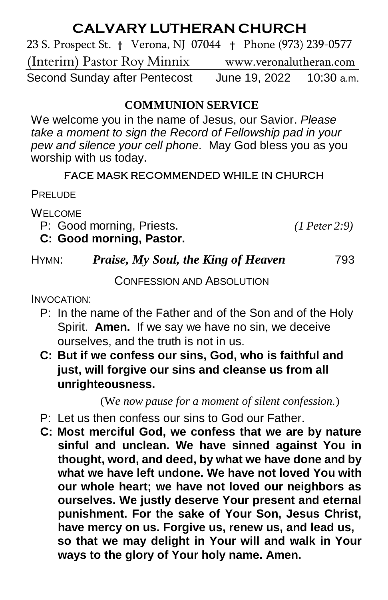# **CALVARY LUTHERAN CHURCH**

23 S. Prospect St. **†** Verona, NJ 07044 **†** Phone (973) 239-0577 (Interim) Pastor Roy Minnixwww.veronalutheran.com Second Sunday after Pentecost June 19, 2022 10:30 a.m.

# **COMMUNION SERVICE**

We welcome you in the name of Jesus, our Savior. *Please take a moment to sign the Record of Fellowship pad in your pew and silence your cell phone.* May God bless you as you worship with us today.

#### FACE MASK RECOMMENDED WHILE IN CHURCH

**PRELUDE** 

WELCOME

P: Good morning, Priests. *(1 Peter 2:9)*

# **C: Good morning, Pastor.**

# HYMN: *Praise, My Soul, the King of Heaven* 793

CONFESSION AND ABSOLUTION

INVOCATION:

- P: In the name of the Father and of the Son and of the Holy Spirit. **Amen.** If we say we have no sin, we deceive ourselves, and the truth is not in us.
- **C: But if we confess our sins, God, who is faithful and just, will forgive our sins and cleanse us from all unrighteousness.**

(W*e now pause for a moment of silent confession.*)

- P: Let us then confess our sins to God our Father.
- **C: Most merciful God, we confess that we are by nature sinful and unclean. We have sinned against You in thought, word, and deed, by what we have done and by what we have left undone. We have not loved You with our whole heart; we have not loved our neighbors as ourselves. We justly deserve Your present and eternal punishment. For the sake of Your Son, Jesus Christ, have mercy on us. Forgive us, renew us, and lead us, so that we may delight in Your will and walk in Your ways to the glory of Your holy name. Amen.**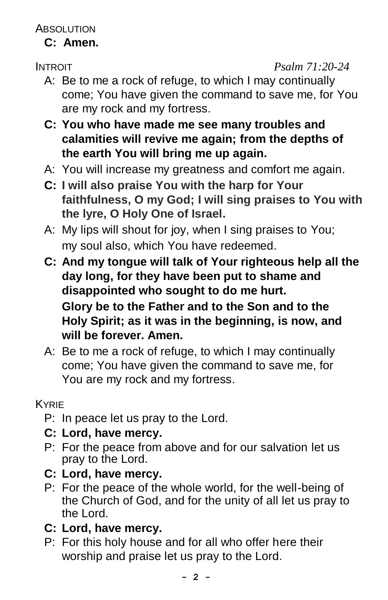**ABSOLUTION** 

# **C: Amen.**

INTROIT *Psalm 71:20-24*

- A: Be to me a rock of refuge, to which I may continually come; You have given the command to save me, for You are my rock and my fortress.
- **C: You who have made me see many troubles and calamities will revive me again; from the depths of the earth You will bring me up again.**
- A: You will increase my greatness and comfort me again.
- **C: I will also praise You with the harp for Your faithfulness, O my God; I will sing praises to You with the lyre, O Holy One of Israel.**
- A: My lips will shout for joy, when I sing praises to You; my soul also, which You have redeemed.
- **C: And my tongue will talk of Your righteous help all the day long, for they have been put to shame and disappointed who sought to do me hurt. Glory be to the Father and to the Son and to the Holy Spirit; as it was in the beginning, is now, and will be forever. Amen.**
- A: Be to me a rock of refuge, to which I may continually come; You have given the command to save me, for You are my rock and my fortress.

KYRIE

- P: In peace let us pray to the Lord.
- **C: Lord, have mercy.**
- P: For the peace from above and for our salvation let us pray to the Lord.
- **C: Lord, have mercy.**
- P: For the peace of the whole world, for the well-being of the Church of God, and for the unity of all let us pray to the Lord.
- **C: Lord, have mercy.**
- P: For this holy house and for all who offer here their worship and praise let us pray to the Lord.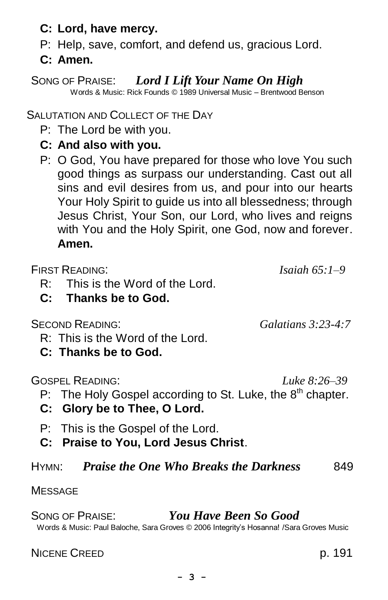- **C: Lord, have mercy.**
- P: Help, save, comfort, and defend us, gracious Lord.
- **C: Amen.**

# SONG OF PRAISE: *Lord I Lift Your Name On High*

Words & Music: Rick Founds © 1989 Universal Music – Brentwood Benson

SALUTATION AND COLLECT OF THE DAY

- P: The Lord be with you.
- **C: And also with you.**
- P: O God, You have prepared for those who love You such good things as surpass our understanding. Cast out all sins and evil desires from us, and pour into our hearts Your Holy Spirit to guide us into all blessedness; through Jesus Christ, Your Son, our Lord, who lives and reigns with You and the Holy Spirit, one God, now and forever. **Amen.**

FIRST READING: *Isaiah 65:1–9*

- R: This is the Word of the Lord.
- **C: Thanks be to God.**

SECOND READING: *Galatians 3:23-4:7*

- R: This is the Word of the Lord.
- **C: Thanks be to God.**

GOSPEL READING: *Luke 8:26–39*

- P: The Holy Gospel according to St. Luke, the  $8<sup>th</sup>$  chapter.
- **C: Glory be to Thee, O Lord.**
- P: This is the Gospel of the Lord.
- **C: Praise to You, Lord Jesus Christ**.

HYMN: *Praise the One Who Breaks the Darkness* 849

### **MESSAGE**

SONG OF PRAISE: *You Have Been So Good* Words & Music: Paul Baloche, Sara Groves © 2006 Integrity's Hosanna! /Sara Groves Music

NICENE CREED p. 191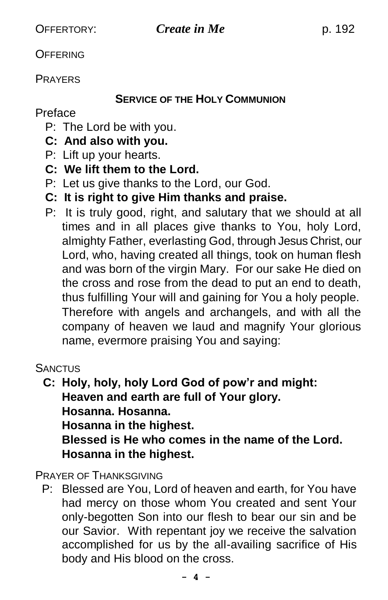**OFFERING** 

PRAYERS

#### **SERVICE OF THE HOLY COMMUNION**

### Preface

- P: The Lord be with you.
- **C: And also with you.**
- P: Lift up your hearts.
- **C: We lift them to the Lord.**
- P: Let us give thanks to the Lord, our God.
- **C: It is right to give Him thanks and praise.**
- P: It is truly good, right, and salutary that we should at all times and in all places give thanks to You, holy Lord, almighty Father, everlasting God, through Jesus Christ, our Lord, who, having created all things, took on human flesh and was born of the virgin Mary. For our sake He died on the cross and rose from the dead to put an end to death, thus fulfilling Your will and gaining for You a holy people. Therefore with angels and archangels, and with all the company of heaven we laud and magnify Your glorious name, evermore praising You and saying:

**SANCTUS** 

 **C: Holy, holy, holy Lord God of pow'r and might: Heaven and earth are full of Your glory. Hosanna. Hosanna. Hosanna in the highest. Blessed is He who comes in the name of the Lord. Hosanna in the highest.**

PRAYER OF THANKSGIVING

 P: Blessed are You, Lord of heaven and earth, for You have had mercy on those whom You created and sent Your only-begotten Son into our flesh to bear our sin and be our Savior. With repentant joy we receive the salvation accomplished for us by the all-availing sacrifice of His body and His blood on the cross.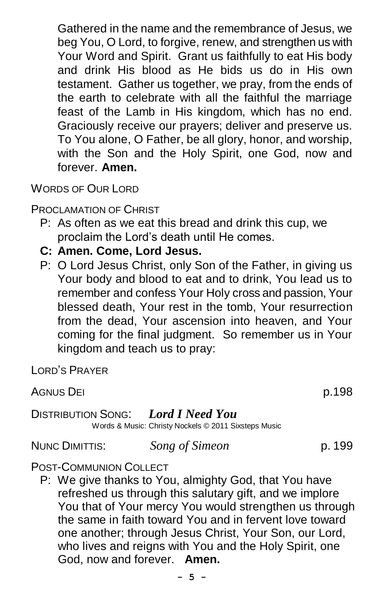Gathered in the name and the remembrance of Jesus, we beg You, O Lord, to forgive, renew, and strengthen us with Your Word and Spirit. Grant us faithfully to eat His body and drink His blood as He bids us do in His own testament. Gather us together, we pray, from the ends of the earth to celebrate with all the faithful the marriage feast of the Lamb in His kingdom, which has no end. Graciously receive our prayers; deliver and preserve us. To You alone, O Father, be all glory, honor, and worship, with the Son and the Holy Spirit, one God, now and forever. **Amen.**

WORDS OF OUR LORD

PROCLAMATION OF CHRIST

- P: As often as we eat this bread and drink this cup, we proclaim the Lord's death until He comes.
- **C: Amen. Come, Lord Jesus.**
- P: O Lord Jesus Christ, only Son of the Father, in giving us Your body and blood to eat and to drink, You lead us to remember and confess Your Holy cross and passion, Your blessed death, Your rest in the tomb, Your resurrection from the dead, Your ascension into heaven, and Your coming for the final judgment. So remember us in Your kingdom and teach us to pray:

LORD'S PRAYER

AGNUS DEI **p.198** 

#### DISTRIBUTION SONG: *Lord I Need You* Words & Music: Christy Nockels © 2011 Sixsteps Music

NUNC DIMITTIS: *Song of Simeon* p. 199

#### POST-COMMUNION COLLECT

P: We give thanks to You, almighty God, that You have refreshed us through this salutary gift, and we implore You that of Your mercy You would strengthen us through the same in faith toward You and in fervent love toward one another; through Jesus Christ, Your Son, our Lord, who lives and reigns with You and the Holy Spirit, one God, now and forever. **Amen.**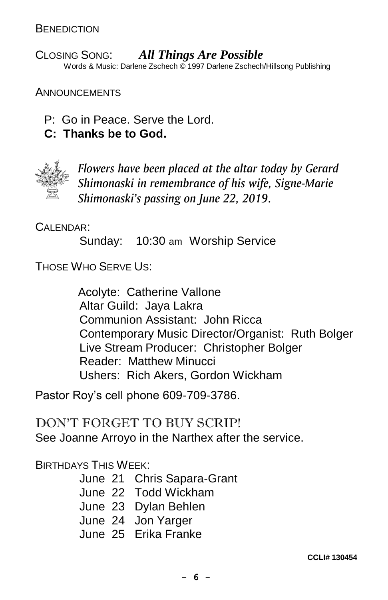CLOSING SONG:*All Things Are Possible* Words & Music: Darlene Zschech © 1997 Darlene Zschech/Hillsong Publishing

**ANNOUNCEMENTS** 

- P: Go in Peace. Serve the Lord.
- **C: Thanks be to God.**



*Flowers have been placed at the altar today by Gerard Shimonaski in remembrance of his wife, Signe-Marie Shimonaski's passing on June 22, 2019.*

CALENDAR:

Sunday: 10:30 am Worship Service

THOSE WHO SERVE US:

 Acolyte: Catherine Vallone Altar Guild: Jaya Lakra Communion Assistant: John Ricca Contemporary Music Director/Organist: Ruth Bolger Live Stream Producer: Christopher Bolger Reader: Matthew Minucci Ushers: Rich Akers, Gordon Wickham

Pastor Roy's cell phone 609-709-3786.

DON'T FORGET TO BUY SCRIP! See Joanne Arroyo in the Narthex after the service.

BIRTHDAYS THIS WEEK:

June 21 Chris Sapara-Grant June 22 Todd Wickham June 23 Dylan Behlen June 24 Jon Yarger June 25 Erika Franke